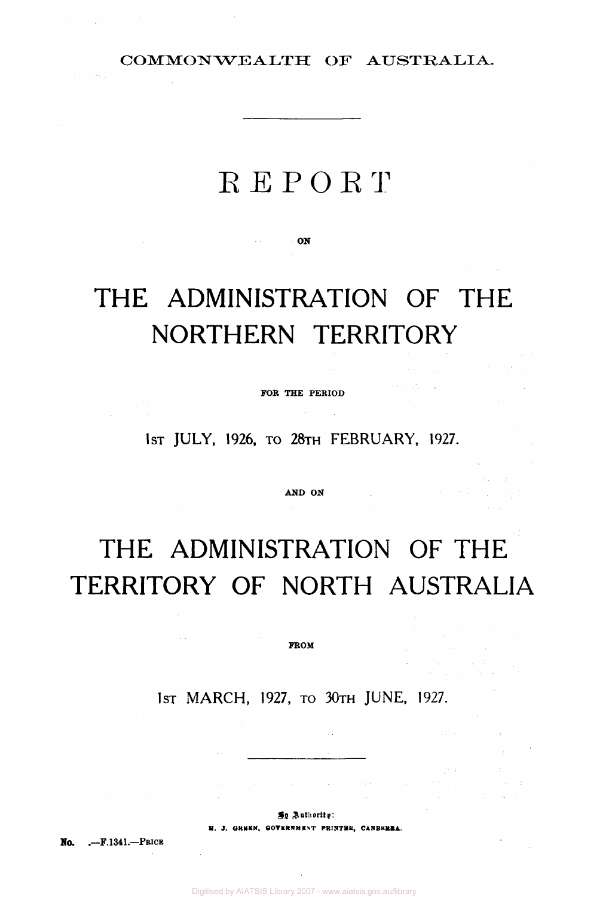COMMONWEALTH OF AUSTRALIA.

# REPORT

**ON** 

# **THE ADMINISTRATION OF THE NORTHERN TERRITORY**

**FOR THE PERIOD** 

 $\label{eq:2.1} \mathcal{L}(\mathcal{L}^{\mathcal{L}}) = \mathcal{L}(\mathcal{L}^{\mathcal{L}}) = \mathcal{L}(\mathcal{L}^{\mathcal{L}}) = \mathcal{L}(\mathcal{L}^{\mathcal{L}})$ 

 $\mathcal{L}(\mathcal{A})$  and  $\mathcal{L}(\mathcal{A})$  .

 $\sigma_{\rm eff} = \sigma_{\rm eff}$ 

 $\label{eq:2} \mathcal{L}_{\mathcal{A}}(\mathbf{x},\mathbf{y})=\mathcal{L}_{\mathcal{A}}(\mathbf{x},\mathbf{y})\mathcal{L}_{\mathcal{A}}(\mathbf{y})$ 

 $\sim 10^{11}$ 

**1ST JULY, 1926, TO 28TH FEBRUARY, 1927.** 

**AND ON** 

# **THE ADMINISTRATION OF THE TERRITORY OF NORTH AUSTRALIA**

**FROM** 

**1ST MARCH, 1927, TO 30TH JUNE, 1927.** 

**By Authority** 

**H. J. GREEN, GOVERNMENT PRINTER, CANBERRA.** 

**No. .—F.1341—PRICE** 

 $\sim$   $\sim$ 

Digitised by AIATSIS Library 2007 - www.aiatsis.gov.au/library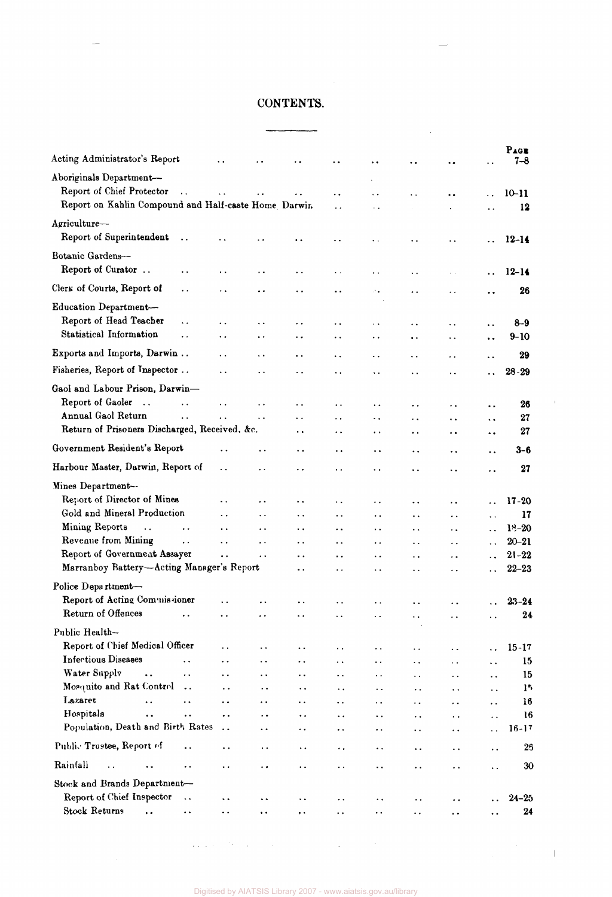# CONTENTS.

 $\sim 10^7$ 

| Acting Administrator's Report                                                                                |                        |                      |                      |                        | ۰.                     |                      | $\ddot{\phantom{a}}$ | $\ddot{\phantom{a}}$ |                      | PAGE<br>$7 - 8$ |
|--------------------------------------------------------------------------------------------------------------|------------------------|----------------------|----------------------|------------------------|------------------------|----------------------|----------------------|----------------------|----------------------|-----------------|
| Aboriginals Department-<br>Report of Chief Protector<br>Report on Kahlin Compound and Half-caste Home Darwin | $\ddot{\phantom{a}}$   |                      |                      |                        | $\ddot{\phantom{0}}$   |                      |                      | $\ddot{\phantom{0}}$ |                      | $10 - 11$<br>12 |
| Agriculture-                                                                                                 |                        |                      |                      |                        |                        |                      |                      |                      |                      |                 |
| Report of Superintendent                                                                                     | $\ddot{\phantom{0}}$   |                      |                      |                        |                        |                      |                      |                      |                      | $12 - 14$       |
| Botanic Gardens-                                                                                             |                        |                      |                      |                        |                        |                      |                      |                      |                      |                 |
| Report of Curator                                                                                            |                        |                      |                      |                        |                        |                      |                      |                      |                      |                 |
|                                                                                                              | . .                    | . .                  | $\cdot$ .            | . .                    | $\ddot{\phantom{0}}$   | . .                  | . .                  |                      |                      | $12 - 14$       |
| Clers of Courts, Report of                                                                                   | $\ddot{\phantom{0}}$   | . .                  | $\ddot{\phantom{0}}$ | ۰.                     | $\ddot{\phantom{0}}$   | ٠.                   | . .                  | $\ddot{\phantom{a}}$ | . .                  | 26              |
| Education Department-                                                                                        |                        |                      |                      |                        |                        |                      |                      |                      |                      |                 |
| Report of Head Teacher<br>Statistical Information                                                            | $\ddot{\phantom{a}}$   | . .                  | $\ddot{\phantom{a}}$ | $\ddot{\phantom{1}}$   |                        |                      |                      | . .                  |                      | 8–9             |
|                                                                                                              | $\ddot{\phantom{0}}$   | . .                  | $\ddot{\phantom{0}}$ | ٠.                     | . .                    | $\ddot{\phantom{0}}$ | $\ddot{\phantom{a}}$ | ٠.                   | $\ddot{\phantom{a}}$ | 9-10            |
| Exports and Imports, Darwin                                                                                  |                        | . .                  | $\ddot{\phantom{0}}$ | . .                    | . .                    | . .                  |                      | . .                  |                      | 29              |
| Fisheries, Report of Inspector                                                                               |                        | . .                  | $\ddot{\phantom{0}}$ | $\ddot{\phantom{0}}$   | . .                    |                      | $\ddot{\phantom{a}}$ | $\ddot{\phantom{0}}$ |                      | $28 - 29$       |
| Gaol and Labour Prison, Darwin-                                                                              |                        |                      |                      |                        |                        |                      |                      |                      |                      |                 |
| Report of Gaoler<br>$\ddots$                                                                                 | $\ddot{\phantom{a}}$   | $\ddot{\phantom{0}}$ | $\ddot{\phantom{0}}$ | $\ddot{\phantom{1}}$   | $\ddot{\phantom{a}}$   | $\ddot{\phantom{0}}$ | . .                  | $\ddot{\phantom{a}}$ |                      | 26              |
| Annual Gaol Return                                                                                           |                        | $\ddot{\phantom{a}}$ | $\ddot{\phantom{0}}$ | . .                    | . .                    | $\ddot{\phantom{a}}$ | . .                  | . .                  |                      | 27              |
| Return of Prisoners Discharged, Received. &c.                                                                |                        |                      |                      | $\ddot{\phantom{1}}$   | $\ddot{\phantom{1}}$   | $\bullet$ $\bullet$  | . .                  | $\ddot{\phantom{1}}$ |                      | 27              |
| Government Resident's Report                                                                                 |                        | . .                  | $\cdot$ .            | . .                    | $\ddot{\phantom{0}}$   | $\ddot{\phantom{0}}$ | $\ddot{\phantom{0}}$ | . .                  | . .                  | 3–6             |
| Harbour Master, Darwin, Report of                                                                            |                        | $\ddot{\phantom{0}}$ | $\ddot{\phantom{0}}$ | $\ddot{\phantom{0}}$   | . .                    | . .                  |                      |                      |                      | 27              |
| Mines Department--                                                                                           |                        |                      |                      |                        |                        |                      |                      |                      |                      |                 |
| Report of Director of Mines                                                                                  |                        | . .                  | $\ddot{\phantom{1}}$ | ٠.                     | $\ddot{\phantom{0}}$   | . .                  | $\ddot{\phantom{0}}$ | . .                  |                      | $17 - 20$       |
| Gold and Mineral Production                                                                                  |                        | . .                  | $\ddot{\phantom{1}}$ | $\ddot{\phantom{1}}$   | . .                    | ٠.                   | $\ddot{\phantom{0}}$ | . .                  |                      | 17              |
| <b>Mining Reports</b><br>$\ddot{\phantom{a}}$                                                                | $\ddot{\phantom{a}}$ . | $\ddot{\phantom{1}}$ | $\ddot{\phantom{1}}$ | $\ddot{\phantom{1}}$   | $\ddot{\phantom{a}}$   | $\ddot{\phantom{1}}$ | $\ddot{\phantom{a}}$ | . .                  | $\ddot{\phantom{0}}$ | $18 - 20$       |
| Reveaue from Mining                                                                                          | $\ddot{\phantom{a}}$ . | $\ddot{\phantom{0}}$ | $\ddot{\phantom{0}}$ | $\ddot{\phantom{a}}$   | $\ddotsc$              | $\ddot{\phantom{0}}$ | $\ddot{\phantom{a}}$ | $\ddot{\phantom{0}}$ | $\ddot{\phantom{0}}$ | $20 - 21$       |
| Report of Government Assayer                                                                                 |                        | $\ddot{\phantom{a}}$ | $\ddot{\phantom{1}}$ | $\bullet$ $\bullet$    | $\bullet$ $\bullet$    | $\ddot{\phantom{0}}$ | $\ddot{\phantom{0}}$ | . .                  |                      | $21 - 22$       |
| Marranboy Battery-Acting Manager's Report                                                                    |                        |                      |                      | $\ddot{\phantom{1}}$ . | $\ddot{\phantom{1}}$ . | $\ddot{\phantom{0}}$ | $\ddot{\phantom{0}}$ | . .                  |                      | $22 - 23$       |
| Police Department-                                                                                           |                        |                      |                      |                        |                        |                      |                      |                      |                      |                 |
| Report of Acting Commissioner                                                                                |                        |                      |                      |                        |                        |                      |                      |                      |                      | $23 - 24$       |
| Return of Offences                                                                                           |                        |                      |                      |                        |                        |                      |                      |                      |                      | 24              |
| Public Health-                                                                                               |                        |                      |                      |                        |                        |                      |                      |                      |                      |                 |
| Report of Chief Medical Officer                                                                              |                        |                      | . .                  | . .                    | . .                    | . .                  |                      |                      |                      | $15 - 17$       |
| <b>Infectious Diseases</b>                                                                                   |                        |                      | . .                  | . .                    | . .                    | $\ddot{\phantom{0}}$ | . .                  | . .                  | . .                  | 15              |
| Water Supply<br>$\ddot{\phantom{a}}$                                                                         | $\ddot{\phantom{0}}$   | $\ddot{\phantom{0}}$ | . .                  | . .                    | . .                    | . .                  | $\ddot{\phantom{0}}$ | $\ddot{\phantom{a}}$ | $\ddot{\phantom{a}}$ | 15              |
| Mosquito and Rat Control                                                                                     | $\ddot{\phantom{a}}$   | $\ddot{\phantom{0}}$ |                      | $\ddot{\phantom{0}}$   | $\ddot{\phantom{0}}$   | . .                  | $\ddot{\phantom{0}}$ |                      | $\ddot{\phantom{a}}$ | 15              |
| Lazaret                                                                                                      | $\ddot{\phantom{0}}$   | . .                  | . .                  | . .                    | $\ddot{\phantom{0}}$   | . .                  | . .                  |                      | . .                  | 16              |
| Hospitals<br>Population, Death and Birth Rates                                                               |                        |                      |                      | . .                    | $\ddot{\phantom{0}}$   | . .                  |                      |                      | $\ddot{\phantom{0}}$ | 16              |
|                                                                                                              |                        |                      |                      | ٠.                     | ٠.                     | ٠.                   | ٠.                   | . .                  | $\ddot{\phantom{a}}$ | $16 - 17$       |
| Public Trustee, Report of                                                                                    |                        | . .                  | $\ddot{\phantom{0}}$ | $\ddot{\phantom{1}}$   | $\ddot{\phantom{0}}$   | $\ddot{\phantom{0}}$ | $\ddot{\phantom{0}}$ | $\ddot{\phantom{a}}$ | $\ddot{\phantom{1}}$ | 26              |
| Rainfall<br>$\ddot{\phantom{0}}$                                                                             |                        | . .                  |                      | . .                    | $\ddot{\phantom{0}}$   | . .                  | . .                  | . .                  | Ω.                   | 30              |
| Stock and Brands Department-                                                                                 |                        |                      |                      |                        |                        |                      |                      |                      |                      |                 |
| Report of Chief Inspector                                                                                    | $\ddot{\phantom{1}}$   | $\ddot{\phantom{0}}$ |                      |                        |                        |                      |                      |                      |                      | $24 - 25$       |
| <b>Stock Returns</b><br>$\ddot{\phantom{a}}$                                                                 |                        |                      |                      |                        |                        |                      |                      |                      |                      | 24              |

 $\mathcal{L}_\mathbf{A}$  is a set of the set of the set of the set of the set of  $\mathcal{L}_\mathbf{A}$ 

 $\mathbf{u}$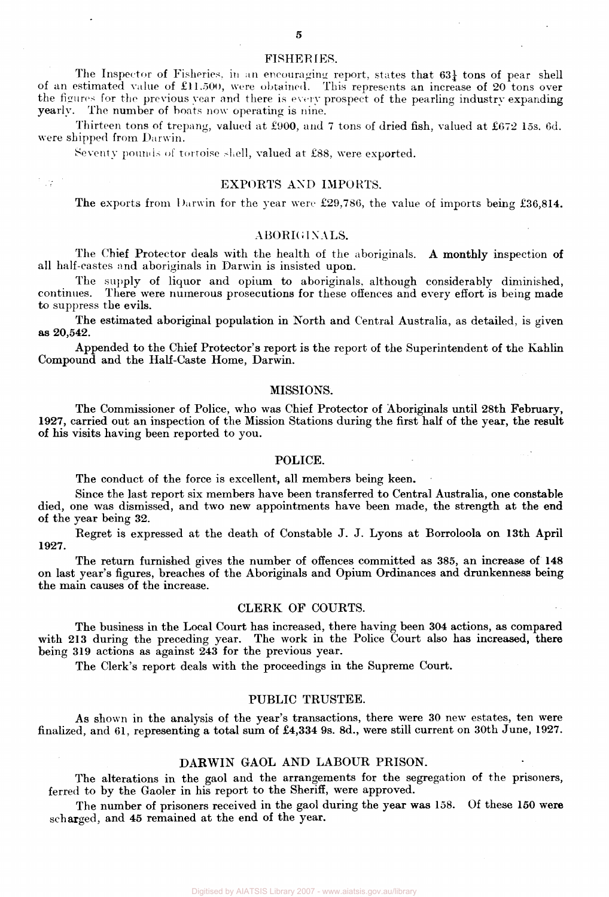The Inspector of Fisheries, in an encouraging report, states that  $63\frac{1}{4}$  tons of pear shell of an estimated value of £11.500, were obtained. This represents an increase of 20 tons over the figures for the previous year and there is every prospect of the pearling industry expanding yearly. The number of boats now operating is nine.

Thirteen tons of trepang, valued at £900, and 7 tons of dried fish, valued at £672 15s. 6d. were shipped from Darwin.

Seventy pounds of tortoise shell, valued at £88, were exported.

ाइ

# EXPORTS AND IMPORTS.

The exports from Darwin for the year were £29,786, the value of imports being £36,814.

# ABORIGINALS.

The Chief Protector deals with the health of the aboriginals. A monthly inspection of all half-castes and aboriginals in Darwin is insisted upon.

The supply of liquor and opium to aboriginals, although considerably diminished, continues. There were numerous prosecutions for these offences and every effort is being made There were numerous prosecutions for these offences and every effort is being made to suppress the evils.

The estimated aboriginal population in North and Central Australia, as detailed, is given as 20,542.

Appended to the Chief Protector's report is the report of the Superintendent of the Kahlin Compound and the Half-Caste Home, Darwin.

## MISSIONS.

The Commissioner of Police, who was Chief Protector of Aboriginals until 28th February, 1927, carried out an inspection of the Mission Stations during the first half of the year, the result of his visits having been reported to you.

## POLICE.

The conduct of the force is excellent, all members being keen.

Since the last report six members have been transferred to Central Australia, one constable died, one was dismissed, and two new appointments have been made, the strength at the end of the year being 32.

Regret is expressed at the death of Constable J. J. Lyons at Borroloola on 13th April 1927.

The return furnished gives the number of offences committed as 385, an increase of **148**  on last year's figures, breaches of the Aboriginals and Opium Ordinances and drunkenness being the main causes of the increase.

# CLERK OF COURTS.

The business in the Local Court has increased, there having been 304 actions, as compared with 213 during the preceding year. The work in the Police Court also has increased, there being 319 actions as against 243 for the previous year.

The Clerk's report deals with the proceedings in the Supreme Court.

# PUBLIC TRUSTEE.

As shown in the analysis of the year's transactions, there were 30 new estates, ten were finalized, and 61, representing a total sum of £4,334 9s. 8d., were still current on 30th June, 1927.

# DARWIN GAOL AND LABOUR PRISON.

The alterations in the gaol and the arrangements for the segregation of the prisoners, ferred to by the Gaoler in his report to the Sheriff, were approved.

The number of prisoners received in the gaol during the year was 158. Of these 150 were scharged, and 45 remained at the end of the year.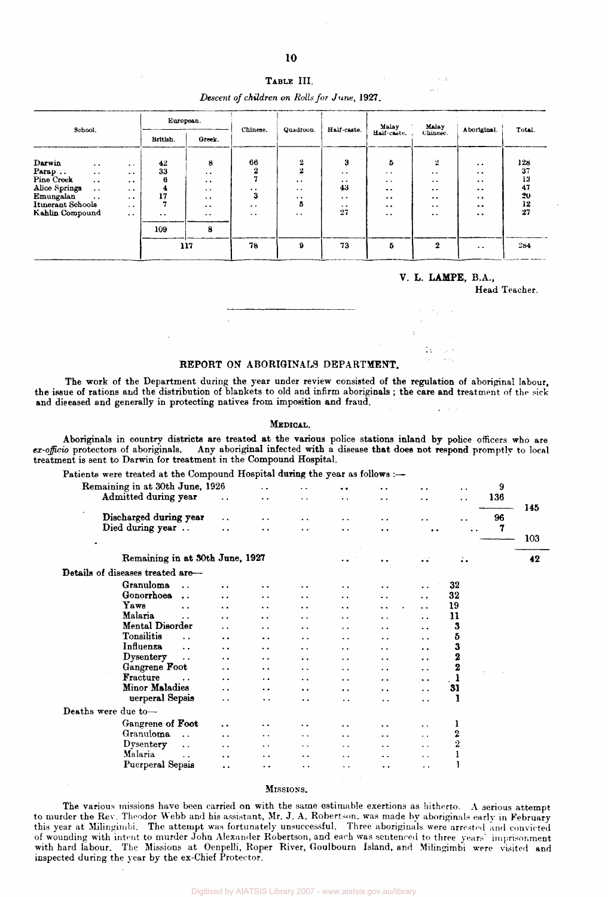| School.           |                      |                      | European. |                      | Chinese.             | Quadroon.            | Half-caste.          | Malay                | Malay                | Aboriginal.                                  | Total. |  |
|-------------------|----------------------|----------------------|-----------|----------------------|----------------------|----------------------|----------------------|----------------------|----------------------|----------------------------------------------|--------|--|
|                   |                      |                      | British.  | Greek.               |                      |                      |                      | Half-caste.          | Chinese.             |                                              |        |  |
| Darwin            | $\sim$ $\sim$        | $\ddot{\phantom{1}}$ | 42        | 8                    | 66                   | $\mathbf{2}$         | 3                    | 5                    | $\overline{2}$       | $\bullet$                                    | 128    |  |
| Parap             | $\ddotsc$            | $\ddot{\phantom{1}}$ | 33        | $\ddot{\phantom{a}}$ | $\bf{2}$             | $\overline{2}$       | $\ddot{\phantom{1}}$ | $\sim$ $\sim$        | $\ddot{\phantom{0}}$ | $\bullet\hspace{0.4mm}\bullet\hspace{0.4mm}$ | 37     |  |
| Pine Creek        | $\ddot{\phantom{0}}$ | $\ddot{\phantom{1}}$ | 6         | $\bullet$ $\bullet$  |                      | $\ddot{\phantom{1}}$ | $\bullet$ $\bullet$  | $\bullet$ $\bullet$  | $\sim$ $\sim$        | $\ddot{\phantom{0}}$                         | 13     |  |
| Alice Springs     | $\ddot{\phantom{0}}$ | $\cdots$             | 4         | $\bullet$ $\bullet$  | $\ddot{\phantom{0}}$ | $\cdot$ .            | 43                   | $\bullet$ $\bullet$  | $\cdot$ .            | $\bullet\,\bullet$                           | 47     |  |
| Emungalan         | $\ddotsc$            | $\sim$ $\sim$        | 17        | $\cdot$ .            | 3                    | $\cdot$ .            | $\ddot{\phantom{0}}$ | $\ddot{\phantom{0}}$ | $\cdot$ .            | $\bullet\bullet$                             | 20     |  |
| Itinerant Schools |                      | $\cdot$ $\cdot$      |           | $\ddot{\phantom{0}}$ | $\ddot{\phantom{1}}$ | 5                    | $\ddot{\phantom{1}}$ | $\bullet\bullet$     | $\bullet$ $\bullet$  | $\bullet\bullet$                             | 12     |  |
| Kahlin Compound   |                      | $\ddotsc$            | $\cdot$ . | $\bullet$ $\bullet$  | $\ddot{\phantom{1}}$ | $\bullet$ .          | 27                   | $\ddot{\phantom{a}}$ | $\ddot{\phantom{0}}$ | $\bullet$                                    | 27     |  |
|                   |                      |                      | 109       | 8                    |                      |                      |                      |                      |                      |                                              |        |  |
|                   |                      |                      |           | 117                  | 78                   | $\mathbf{9}$         | 73                   | 5                    | $\mathbf{2}$         | $\cdot$ .                                    | 284    |  |

### **V. L. LAMPE,** B.A.,

 $\pm$ **CALL**  $\sim$   $\pm$  $\sim$ 

Head Teacher.

#### REPORT ON ABORIGINALS DEPARTMENT.

The work of the Department during the year under review consisted of the regulation of aboriginal labour, the issue of rations and the distribution of blankets to old and infirm aboriginals ; the care and treatment of the sick and diseased and generally in protecting natives from imposition and fraud.

#### MEDICAL.

Aboriginals in country districts are treated at the various police stations inland by police officers who are ex-officio protectors of aboriginals. Any aboriginal infected with a disease that does not respond promptly to local treatment is sent to Darwin for treatment in the Compound Hospital.

| Patients were treated at the Compound Hospital during the year as follows :- |
|------------------------------------------------------------------------------|
|------------------------------------------------------------------------------|

| Remaining in at 30th June, 1926<br>Admitted during year |                      | . .                  | $\ddot{\phantom{0}}$ | $\ddot{\phantom{a}}$ | $\ddot{\phantom{0}}$ | . .                  | $\ddot{\phantom{1}}$<br>$\ddot{\phantom{0}}$ | 9<br>136 | 145 |
|---------------------------------------------------------|----------------------|----------------------|----------------------|----------------------|----------------------|----------------------|----------------------------------------------|----------|-----|
| Discharged during year                                  | $\ddot{\phantom{a}}$ | . .                  | $\ddot{\phantom{0}}$ | . .                  | $\ddot{\phantom{a}}$ |                      |                                              | 96       |     |
| Died during year                                        | $\ddot{\phantom{a}}$ | $\ddot{\phantom{1}}$ | $\ddot{\phantom{1}}$ |                      | . .                  | $\ddot{\phantom{0}}$ |                                              | 7        | 103 |
| Remaining in at 30th June, 1927                         |                      |                      |                      | . .                  |                      | الوالو               | $\ddot{\cdot}$ .                             |          | 42  |
| Details of diseases treated are-                        |                      |                      |                      |                      |                      |                      |                                              |          |     |
| Granuloma<br>$\ddot{\phantom{a}}$                       | $\ddot{\phantom{a}}$ | $\ddot{\phantom{1}}$ | . .                  |                      |                      |                      | 32                                           |          |     |
| Gonorrhoes<br>$\ddot{\phantom{a}}$                      | $\ddot{\phantom{0}}$ | $\ddot{\phantom{0}}$ | . .                  | . .                  | $\ddot{\phantom{0}}$ | $\ddot{\phantom{0}}$ | 32                                           |          |     |
| Yaws<br>$\ddot{\phantom{0}}$                            | $\ddot{\phantom{0}}$ | $\ddot{\phantom{0}}$ | $\ddot{\phantom{0}}$ | . .                  | $\ddot{\phantom{1}}$ | $\ddot{\phantom{a}}$ | 19                                           |          |     |
| Malaria                                                 | $\ddot{\phantom{0}}$ | $\ddot{\phantom{1}}$ | . .                  | . .                  |                      | $\ddot{\phantom{a}}$ | 11                                           |          |     |
| Mental Disorder                                         | $\ddot{\phantom{0}}$ |                      | . .                  | . .                  | . .                  | . .                  | 3                                            |          |     |
| Tonsilitis<br>$\ddot{\phantom{0}}$                      | $\ddot{\phantom{0}}$ | . .                  | . .                  | $\ddot{\phantom{a}}$ | $\ddot{\phantom{0}}$ | $\ddot{\phantom{0}}$ | 5                                            |          |     |
| Influenza<br>$\ddotsc$                                  | $\ddot{\phantom{a}}$ | . .                  | . .                  | $\ddot{\phantom{0}}$ | . .                  | $\ddot{\phantom{0}}$ | 3                                            |          |     |
| Dysentery<br>$\ddotsc$                                  | . .                  | $\ddot{\phantom{0}}$ |                      |                      |                      | $\ddot{\phantom{1}}$ | $\overline{\mathbf{2}}$                      |          |     |
| Gangrene Foot                                           | . .                  | $\cdot$ .            |                      | . .                  | . .                  | $\ddot{\phantom{1}}$ | $\mathbf 2$                                  |          |     |
| Fracture                                                | . .                  | $\ddot{\phantom{0}}$ | $\ddot{\phantom{0}}$ | $\ddot{\phantom{1}}$ | $\ddot{\phantom{1}}$ | $\ddot{\phantom{1}}$ | 1                                            |          |     |
| Minor Maladies                                          | . .                  | . .                  | . .                  | . .                  | $\ddot{\phantom{0}}$ | $\ddot{\phantom{0}}$ | 31                                           |          |     |
| uerperal Sepsis                                         | $\ddot{\phantom{0}}$ | $\ddot{\phantom{1}}$ |                      |                      | . .                  | . .                  |                                              |          |     |
| Deaths were due to-                                     |                      |                      |                      |                      |                      |                      |                                              |          |     |
| Gangrene of Foot                                        | $\ddot{\phantom{0}}$ |                      |                      |                      |                      |                      | 1                                            |          |     |
| Granuloma<br>$\ddot{\phantom{a}}$                       | $\ddot{\phantom{a}}$ | $\ddot{\phantom{1}}$ | $\ddotsc$            | $\ddot{\phantom{a}}$ | . .                  | $\ddot{\phantom{a}}$ | 2                                            |          |     |
| Dysentery<br>$\sim$ $\sim$                              | . .                  | $\cdot$ .            | $\ddotsc$            | $\ddot{\phantom{0}}$ | $\ddot{\phantom{a}}$ | $\ddot{\phantom{0}}$ | 2                                            |          |     |
| Malaria<br>$\ddot{\phantom{a}}$                         | . .                  | $\ddot{\phantom{1}}$ | $\ddot{\phantom{1}}$ | $\ddot{\phantom{1}}$ | $\ddot{\phantom{a}}$ | $\ddot{\phantom{1}}$ |                                              |          |     |
| Puerperal Sepsis                                        | . .                  | . .                  |                      | $\ddot{\phantom{1}}$ |                      | . .                  |                                              |          |     |
|                                                         |                      |                      |                      |                      |                      |                      |                                              |          |     |

#### MISSIONS.

The various missions have been carried on with the same estimable exertions as hitherto. A serious attempt to murder the Rev. Theodor Webb and his assistant, Mr. J. A. Robertson, was made by aboriginals early in February this year at Milingimbi. The attempt was fortunately unsuccessful. Three aboriginals were arrested and convicted of wounding with intent to murder John Alexander Robertson, and each was sentenced to three years' imprisonment with hard labour. The Missions at Oenpelli, Roper River, Goulbourn Island, and Milingimbi were visited and inspected during the year by the ex-Chief Protector.

TABLE III. *Descent of children on Rolls for June,* 1927.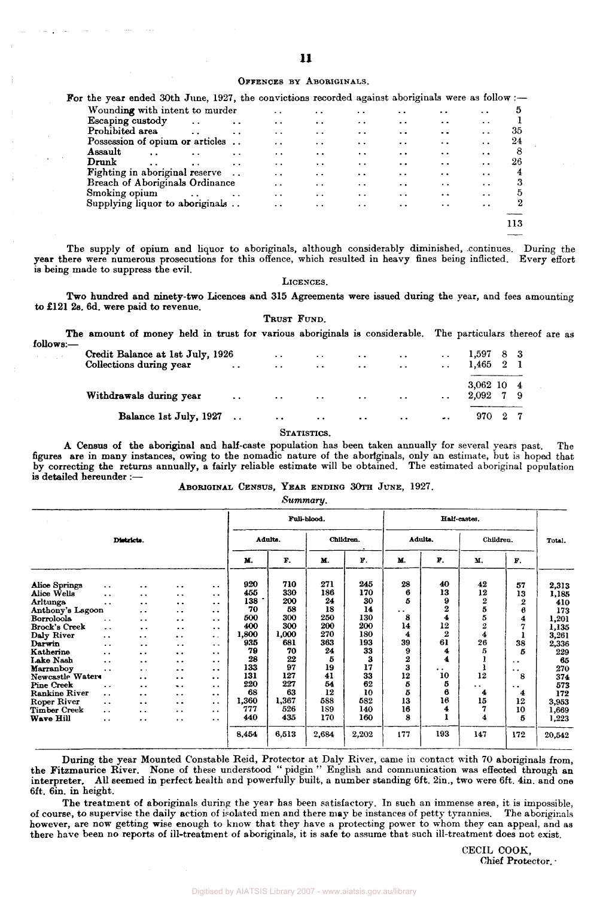#### OFFENCES BY ABORIGINALS.

| For the year ended 30th June, 1927, the convictions recorded against aboriginals were as follow :- |                      |                      |                      |                                              |                      |                      |                      |                      |                      |     |
|----------------------------------------------------------------------------------------------------|----------------------|----------------------|----------------------|----------------------------------------------|----------------------|----------------------|----------------------|----------------------|----------------------|-----|
| Wounding with intent to murder                                                                     |                      |                      |                      | . .                                          | $\ddot{\phantom{a}}$ | $\cdot$ .            | . .                  | $\bullet\ \bullet$   | $\cdot$ $\cdot$      | 5   |
| Escaping custody                                                                                   |                      | $\ddotsc$            | $\ddot{\phantom{a}}$ | $\bullet\hspace{0.4mm}\bullet\hspace{0.4mm}$ | $\ddot{\phantom{a}}$ | $\cdot$ .            | $\cdot$ $\cdot$      | $\bullet$            | $\ddot{\phantom{a}}$ |     |
| Prohibited area                                                                                    |                      | $\ddot{\phantom{a}}$ | $\ddotsc$            | $\ddot{\phantom{a}}$                         | $\ddot{\phantom{0}}$ | $\ddot{\phantom{a}}$ | $\ddot{\phantom{0}}$ | $\ddot{\phantom{a}}$ | $\ddot{\phantom{1}}$ | 35  |
| Possession of opium or articles                                                                    |                      |                      |                      | $\cdot$ .                                    | $\ddot{\phantom{0}}$ | $\cdot$ $\cdot$      | $\bullet$            | $\bullet$            | $\ddot{\phantom{a}}$ | 24  |
| Assault                                                                                            | $\ddot{\phantom{a}}$ | $\ddot{\phantom{0}}$ | $\cdot$ $\cdot$      | $\ddot{\phantom{1}}$                         | $\bullet$            | $\ddot{\phantom{a}}$ | $\ddot{\phantom{1}}$ | $\bullet$            | $\ddot{\phantom{a}}$ | 8   |
| Drunk                                                                                              | $\sim$ $\sim$        | $\bullet$ $\bullet$  | $\ddot{\phantom{0}}$ | . .                                          | $\ddot{\bullet}$     | $\ddot{\phantom{0}}$ | $\ddot{\phantom{0}}$ | $\cdot$ $\cdot$      | $\ddot{\phantom{a}}$ | 26  |
| Fighting in aboriginal reserve                                                                     |                      |                      |                      | . .                                          | $\cdot$ $\cdot$      | $\ddot{\phantom{a}}$ | $\ddot{\phantom{a}}$ | $\ddot{\phantom{1}}$ | $\ddot{\phantom{0}}$ | 4   |
| <b>Breach of Aboriginals Ordinance</b>                                                             |                      |                      |                      | $\cdot$ .                                    | $\ddot{\phantom{1}}$ | $\cdot$ .            | $\ddot{\phantom{a}}$ | $\cdot$ .            | $\ddot{\phantom{1}}$ |     |
| Smoking opium                                                                                      |                      | $\ddot{\phantom{a}}$ | $\ddot{\phantom{a}}$ | $\cdot$ .                                    | $\cdot$ $\cdot$      | $\ddot{\phantom{0}}$ | $\ddot{\phantom{0}}$ | $\cdot$ .            | $\ddot{\phantom{a}}$ | 5   |
| Supplying liquor to aboriginals                                                                    |                      |                      |                      | $\bullet$                                    | $\ddot{\phantom{1}}$ | $\ddot{\phantom{0}}$ | $\ddot{\phantom{a}}$ | $\ddot{\phantom{a}}$ | $\ddot{\phantom{a}}$ | 2   |
|                                                                                                    |                      |                      |                      |                                              |                      |                      |                      |                      |                      |     |
|                                                                                                    |                      |                      |                      |                                              |                      |                      |                      |                      |                      | 113 |
|                                                                                                    |                      |                      |                      |                                              |                      |                      |                      |                      |                      |     |

The supply of opium and liquor to aboriginals, although considerably diminished, continues. During the year there were numerous prosecutions for this offence, which resulted in heavy fines being inflicted. Every effort is being made to suppress the evil.

#### LICENCES.

Two hundred and ninety-two Licences and 315 Agreements were issued during the year, and fees amounting to £121 2s. 6d. were paid to revenue.

TRUST FUND.

follows

| The amount of money held in trust for various aboriginals is considerable. The particulars thereof are as |                                       |                                                                                                                                                                                                                                |                                                                                                                            |                   |                      |                      |              |  |  |
|-----------------------------------------------------------------------------------------------------------|---------------------------------------|--------------------------------------------------------------------------------------------------------------------------------------------------------------------------------------------------------------------------------|----------------------------------------------------------------------------------------------------------------------------|-------------------|----------------------|----------------------|--------------|--|--|
| Credit Balance at 1st July, 1926                                                                          |                                       | $\sim$ $\sim$                                                                                                                                                                                                                  | $\sim$                                                                                                                     | $\sim$ $\sim$     | $\ddot{\phantom{0}}$ | $\bullet$ $\bullet$  | 1,597 8 3    |  |  |
| Collections during year                                                                                   |                                       | and the contract of the contract of the contract of the contract of the contract of the contract of the contract of the contract of the contract of the contract of the contract of the contract of the contract of the contra | $\mathcal{L}(\mathbf{r},\mathbf{r})$ , and $\mathcal{L}(\mathbf{r},\mathbf{r})$ , and $\mathcal{L}(\mathbf{r},\mathbf{r})$ |                   | $\sim$ $\sim$ $\sim$ | $\ddot{\phantom{0}}$ | $1,465$ 2    |  |  |
|                                                                                                           |                                       |                                                                                                                                                                                                                                |                                                                                                                            |                   |                      |                      | $3,062$ 10 4 |  |  |
| Withdrawals during year                                                                                   | <b><i>College College College</i></b> | <b>Contract Contract</b>                                                                                                                                                                                                       | <b>Contract Contract</b>                                                                                                   | <b>Contractor</b> | $\sim$ $\sim$        | $\ddot{\phantom{0}}$ | 2,092 7 9    |  |  |
| Balance 1st July, 1927                                                                                    |                                       | $\ddot{\phantom{0}}$                                                                                                                                                                                                           | $\ddot{\phantom{0}}$                                                                                                       | $\ddotsc$         | $\ddotsc$            | $\bullet$ .          | 970 2        |  |  |
|                                                                                                           |                                       |                                                                                                                                                                                                                                | STATISTICS.                                                                                                                |                   |                      |                      |              |  |  |

A Census of the aboriginal and half-caste population has been taken annually for several years past. The figures are in many instances, owing to the nomadic nature of the aboriginals, only an estimate, but is hoped that by correcting the returns annually, a fairly reliable estimate will be obtained. The estimated aboriginal population is detailed hereunder :—

# ABORIGINAL CENSUS, YEAR ENDING 30TH JUNE, 1927.

*Summary.* 

| $\mathcal{L}$ .      |                      | Full-blood.          |                      |                      |         | Half-castes. |       |           |                      |                      |                |                      |        |
|----------------------|----------------------|----------------------|----------------------|----------------------|---------|--------------|-------|-----------|----------------------|----------------------|----------------|----------------------|--------|
|                      |                      | Districts.           |                      |                      | Adults. |              |       | Children. |                      | Adults.              |                | Children.            |        |
|                      |                      |                      |                      |                      | M.      | F.           | M.    | F.        | М.                   | $\mathbf{F}$ .       | M.             | F.                   |        |
| Alice Springs        | $\ddot{\phantom{0}}$ | $\ddot{\phantom{0}}$ | $\ddot{\phantom{0}}$ | $\ddot{\phantom{a}}$ | 920     | 710          | 271   | 245       | 28                   | 40                   | 42             | 57                   | 2,313  |
| Alice Wells          | $\ddot{\phantom{a}}$ | $\ddotsc$            | $\ddot{\phantom{1}}$ | $\ddot{\phantom{1}}$ | 455     | 330          | 186   | 170       | 6                    | 13                   | 12             | 13                   | 1,185  |
| Arltunga             | $\ddot{\phantom{0}}$ | $\ddot{\phantom{a}}$ | $\ddot{\phantom{a}}$ | $\ddot{\phantom{0}}$ | 138     | 200          | 24    | 30        | 5                    | $\boldsymbol{9}$     | $\frac{2}{5}$  | $\overline{2}$       | 410    |
| Anthony's Lagoon     |                      | $\cdot$ .            | $\ddot{\phantom{0}}$ | $\cdot$ $\cdot$      | 70      | 58           | 18    | 14        | $\ddot{\phantom{0}}$ | $\overline{2}$       |                | 6                    | 173    |
| Borroloola           | $\ddot{\phantom{0}}$ | $\ddot{\phantom{0}}$ | . .                  | $\ddot{\phantom{0}}$ | 500     | 300          | 250   | 130       | 8                    | 4                    | 5              | 4                    | 1,201  |
| Brock's Creek        | $\ddot{\phantom{a}}$ | $\ddot{\phantom{a}}$ | $\cdot$ .            | $\ddot{\phantom{0}}$ | 400     | 300          | 200   | 200       | 14                   | 12                   | $\overline{2}$ | 7                    | 1,135  |
| Daly River           | $\ddot{\phantom{1}}$ | $\ddot{\phantom{0}}$ | $\ddot{\phantom{0}}$ | $\ddot{\phantom{a}}$ | 1,800   | 1,000        | 270   | 180       | 4                    | $\overline{2}$       | $\ddagger$     |                      | 3,261  |
| Darwin               | $\ddot{\phantom{1}}$ | $\ddot{\phantom{a}}$ | $\cdot$ .            | $\ddot{\phantom{1}}$ | 935     | 681          | 363   | 193       | 39                   | 61                   | 26             | 38                   | 2,336  |
| Katherine            | $\ddot{\phantom{1}}$ | $\ddot{\phantom{a}}$ | $\bullet$            | $\cdot$ .            | 79      | 70           | 24    | 33        | 9                    | 4                    | 5              | 5                    | 229    |
| Lake Nash            | $\ddot{\phantom{a}}$ | $\ddot{\phantom{0}}$ | $\ddot{\phantom{a}}$ | $\ddot{\phantom{0}}$ | 28      | 22           | 5     | 3         | 2                    | $\blacktriangleleft$ |                | . .                  | 65     |
| Marranboy            | $\ddot{\phantom{1}}$ | $\bullet$            | . .                  | $\ddot{\phantom{a}}$ | 133     | 97           | 19    | 17        | 3                    | $\ddot{\phantom{a}}$ |                | . .                  | 270    |
| Newcastle Waters     |                      | $\ddot{\phantom{0}}$ | $\ddot{\phantom{0}}$ | $\bullet$            | 131     | 127          | 41    | 33        | 12                   | 10                   | 12             | 8                    | 374    |
| <b>Pine Creek</b>    | $\ddot{\phantom{0}}$ | $\ddot{\phantom{a}}$ | $\ddot{\phantom{1}}$ | $\ddot{\phantom{0}}$ | 220     | 227          | 54    | 62        | 5                    | 5                    | . .            | $\ddot{\phantom{0}}$ | 573    |
| <b>Rankine River</b> | $\ddot{\phantom{a}}$ | $\ddot{\phantom{0}}$ | $\ddot{\phantom{0}}$ | $\ddot{\phantom{1}}$ | 68      | 63           | 12    | 10        | 5                    | 6                    | 4              | 4                    | 172    |
| Roper River          | $\ddot{\phantom{a}}$ | $\ddot{\phantom{0}}$ | $\ddot{\phantom{0}}$ | $\sim$ $\sim$        | 1,360   | 1,367        | 588   | 582       | 13                   | 16                   | 15             | 12                   | 3,953  |
| <b>Timber Creek</b>  | $\ddot{\phantom{1}}$ | $\ddot{\phantom{0}}$ | $\ddot{\phantom{1}}$ | $\ddot{\phantom{0}}$ | 777     | 526          | 189   | 140       | 16                   | 4                    |                | 10                   | 1,669  |
| Wave Hill            | $\ddot{\phantom{a}}$ | $\bullet$            | $\bullet$ $\bullet$  | $\ddot{\phantom{1}}$ | 440     | 435          | 170   | 160       | 8                    |                      | 4              | 5                    | 1,223  |
|                      |                      |                      |                      |                      | 8,454   | 6,513        | 2,684 | 2,202     | 177                  | 193                  | 147            | 172                  | 20,542 |

During the year Mounted Constable Reid, Protector at Daly River, came in contact with 70 aboriginals from, the Fitzmaurice River. None of these understood " pidgin " English and communication was effected through an interpreter. All seemed in perfect health and powerfully built, a number standing 6ft. 2in., two were 6ft. 4in. and one 6ft. 6in. in height.

The treatment of aboriginals during the year has been satisfactory. In such an immense area, it is impossible, of course, to supervise the daily action of isolated men and there may be instances of petty tyrannies. The aboriginals however, are now getting wise enough to know that they have a protecting power to whom they can appeal, and as there have been no reports of ill-treatment of aboriginals, it is safe to assume that such ill-treatment does not exist.

> CECIL COOK, Chief Protector. •